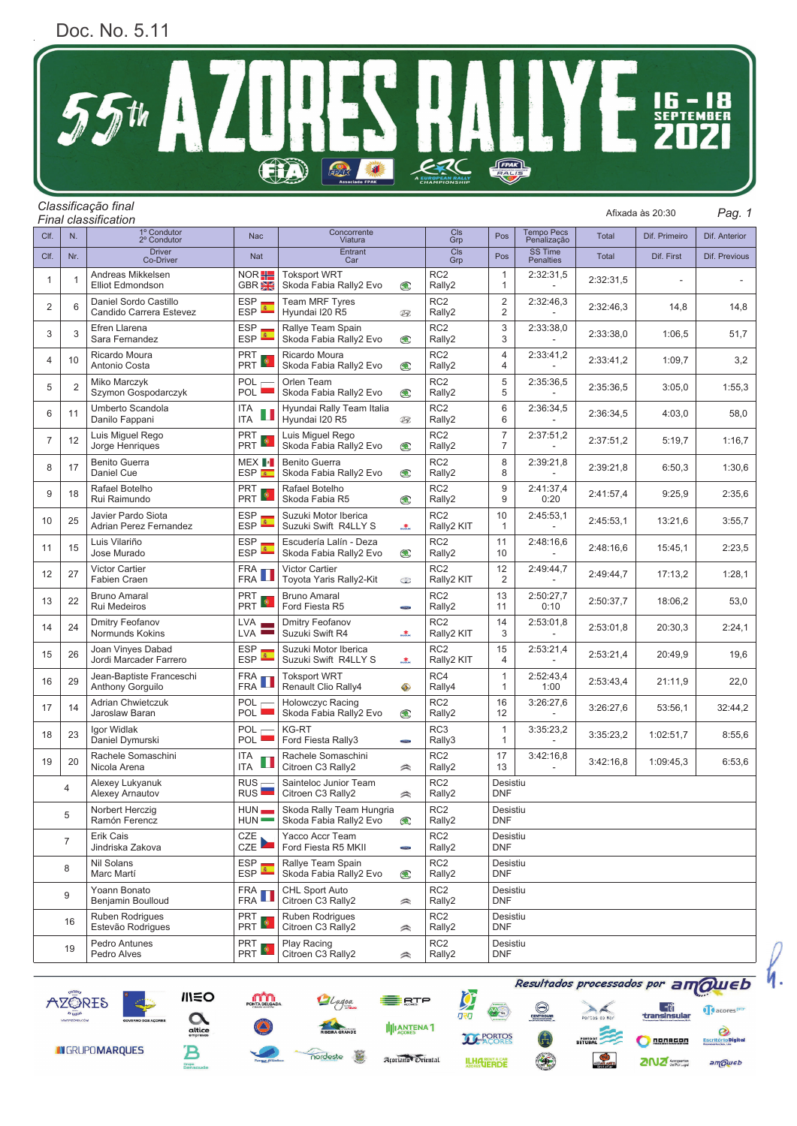## Doc. No. 5.11



## *Final classification*

*Pag. 1 Classificação final* Afixada às 20:30

| Clf.           | N.             | 1º Condutor<br>2º Condutor                          | Nac                                       | Concorrente<br>Viatura                                      |             | Cls<br>Grp                            | Pos                              | <b>Tempo Pecs</b><br>Penalização   | Total     | Dif. Primeiro | Dif. Anterior |  |
|----------------|----------------|-----------------------------------------------------|-------------------------------------------|-------------------------------------------------------------|-------------|---------------------------------------|----------------------------------|------------------------------------|-----------|---------------|---------------|--|
| Clf.           | Nr.            | <b>Driver</b><br>Co-Driver                          | Nat                                       | Entrant<br>Car                                              |             | Cls<br>Grp                            | Pos                              | <b>SS Time</b><br><b>Penalties</b> | Total     | Dif. First    | Dif. Previous |  |
| 1              | 1              | Andreas Mikkelsen<br>Elliot Edmondson               | $NOR = 1$<br>GBR <sub>2</sub>             | <b>Toksport WRT</b><br>Skoda Fabia Rally2 Evo<br>$\bigcirc$ |             | RC <sub>2</sub><br>Rally2             | 1<br>1                           | 2:32:31,5                          | 2:32:31,5 |               |               |  |
| 2              | 6              | Daniel Sordo Castillo<br>Candido Carrera Estevez    | <b>ESP</b><br>图<br><b>ESP</b>             | <b>Team MRF Tyres</b><br>Hyundai I20 R5<br>$\circledR$      |             | RC <sub>2</sub><br>Rally2             | $\overline{2}$<br>2              | 2:32:46,3                          | 2:32:46,3 | 14,8          | 14,8          |  |
| 3              | 3              | Efren Llarena<br>Sara Fernandez                     | <b>ESP</b><br><b>ESP</b>                  | Rallye Team Spain<br>Skoda Fabia Rally2 Evo<br>$\bigcirc$   |             | RC <sub>2</sub><br>Rally2             | 3<br>3                           | 2:33:38,0                          | 2:33:38,0 | 1:06,5        | 51,7          |  |
| 4              | 10             | Ricardo Moura<br>Antonio Costa                      | <b>PRT</b><br>PRT <sup>B</sup>            | Ricardo Moura<br>Skoda Fabia Rally2 Evo<br>$\bigcirc$       |             | RC <sub>2</sub><br>Rally2             | $\overline{4}$<br>4              | 2:33:41,2                          | 2:33:41.2 | 1:09.7        | 3,2           |  |
| 5              | $\overline{2}$ | Miko Marczyk<br>Szymon Gospodarczyk                 | <b>POL</b><br><b>POL</b>                  | Orlen Team<br>Skoda Fabia Rally2 Evo<br>◉                   |             | RC <sub>2</sub><br>Rally2             | 5<br>5                           | 2:35:36,5                          | 2:35:36,5 | 3:05,0        | 1:55,3        |  |
| 6              | 11             | Umberto Scandola<br>Danilo Fappani                  | <b>ITA</b><br><b>ITA</b>                  | Hyundai Rally Team Italia<br>Hyundai I20 R5                 | $\circledR$ | RC <sub>2</sub><br>Rally2             | 6<br>6                           | 2:36:34,5                          | 2:36:34,5 | 4:03,0        | 58,0          |  |
| 7              | 12             | Luis Miguel Rego<br>Jorge Henriques                 | <b>PRT</b><br>PRT                         | Luis Miguel Rego<br>Skoda Fabia Rally2 Evo                  | $\bigcirc$  | RC <sub>2</sub><br>Rally2             | $\overline{7}$<br>$\overline{7}$ | 2:37:51,2                          | 2:37:51,2 | 5:19.7        | 1:16,7        |  |
| 8              | 17             | Benito Guerra<br>Daniel Cue                         | MEX <b>I</b><br>ESP <sup>&amp;</sup>      | <b>Benito Guerra</b><br>Skoda Fabia Rally2 Evo              | $\bigcirc$  | RC <sub>2</sub><br>Rally2             | 8<br>8                           | 2:39:21,8                          | 2:39:21,8 | 6:50,3        | 1:30,6        |  |
| 9              | 18             | Rafael Botelho<br>Rui Raimundo                      | <b>PRT</b><br>PRT                         | Rafael Botelho<br>Skoda Fabia R5<br>$\bigcirc$              |             | RC <sub>2</sub><br>Rally2             | 9<br>9                           | 2:41:37,4<br>0:20                  | 2:41:57,4 | 9:25,9        | 2:35,6        |  |
| 10             | 25             | Javier Pardo Siota<br><b>Adrian Perez Fernandez</b> | <b>ESP</b><br>ESP <sup><sup>4</sup></sup> | Suzuki Motor Iberica<br>Suzuki Swift R4LLY S                | $\bullet$   | RC <sub>2</sub><br>Rally2 KIT         | 10<br>1                          | 2:45:53,1                          | 2:45:53,1 | 13:21,6       | 3:55,7        |  |
| 11             | 15             | Luis Vilariño<br>Jose Murado                        | <b>ESP</b><br><b>ESP</b>                  | Escudería Lalín - Deza<br>Skoda Fabia Rally2 Evo            | $\bigcirc$  | RC <sub>2</sub><br>Rally2             | 11<br>10                         | 2:48:16,6                          | 2:48:16,6 | 15:45,1       | 2:23,5        |  |
| 12             | 27             | <b>Victor Cartier</b><br><b>Fabien Craen</b>        | <b>FRA</b><br><b>FRA</b>                  | Victor Cartier<br>Toyota Yaris Rally2-Kit<br>☜              |             | RC <sub>2</sub><br>Rally2 KIT         | 12<br>2                          | 2:49:44,7                          | 2:49:44,7 | 17:13,2       | 1:28,1        |  |
| 13             | 22             | <b>Bruno Amaral</b><br>Rui Medeiros                 | <b>PRT</b><br>PRT <sup>P</sup>            | <b>Bruno Amaral</b><br>Ford Fiesta R5<br><b>ROOM</b>        |             | RC <sub>2</sub><br>Rally2             | 13<br>11                         | 2:50:27,7<br>0:10                  | 2:50:37,7 | 18:06,2       | 53,0          |  |
| 14             | 24             | Dmitry Feofanov<br>Normunds Kokins                  | <b>LVA</b><br><b>LVA</b>                  | Dmitry Feofanov<br>Suzuki Swift R4<br>$\bullet$             |             | RC <sub>2</sub><br>Rally2 KIT         | 14<br>3                          | 2:53:01,8                          | 2:53:01,8 | 20:30,3       | 2:24,1        |  |
| 15             | 26             | Joan Vinyes Dabad<br>Jordi Marcader Farrero         | <b>ESP</b><br><b>ESP</b>                  | Suzuki Motor Iberica<br>Suzuki Swift R4LLY S                | $\bullet$   | RC <sub>2</sub><br>Rally2 KIT         | 15<br>4                          | 2:53:21,4                          | 2:53:21,4 | 20:49,9       | 19,6          |  |
| 16             | 29             | Jean-Baptiste Franceschi<br>Anthony Gorguilo        | <b>FRA</b><br><b>FRA</b>                  | <b>Toksport WRT</b><br>Renault Clio Rally4                  | ◈           | RC4<br>Rally4                         | $\mathbf{1}$<br>1                | 2:52:43,4<br>1:00                  | 2:53:43,4 | 21:11,9       | 22,0          |  |
| 17             | 14             | Adrian Chwietczuk<br>Jaroslaw Baran                 | POL<br><b>POL</b>                         | Holowczyc Racing<br>Skoda Fabia Rally2 Evo                  | $\bigcirc$  | RC <sub>2</sub><br>16<br>Rally2<br>12 |                                  | 3:26:27,6                          | 3:26:27,6 | 53:56,1       | 32:44,2       |  |
| 18             | 23             | Igor Widlak<br>Daniel Dymurski                      | POL<br>POL                                | <b>KG-RT</b><br>Ford Fiesta Rally3                          | <b>ROLL</b> | RC <sub>3</sub><br>Rally3             | $\mathbf{1}$<br>$\mathbf{1}$     | 3:35:23,2                          | 3:35:23,2 | 1:02:51,7     | 8:55,6        |  |
| 19             | 20             | Rachele Somaschini<br>Nicola Arena                  | <b>ITA</b><br>ITA                         | Rachele Somaschini<br>Citroen C3 Rally2                     | $\approx$   | RC <sub>2</sub><br>Rally2             | 17<br>3:42:16,8<br>13            |                                    | 3:42:16.8 | 1:09:45,3     | 6:53,6        |  |
| 4              |                | Alexey Lukyanuk<br>Alexey Arnautov                  | <b>RUS</b><br>RUS <sup>I</sup>            | Sainteloc Junior Team<br>Citroen C3 Rally2                  | $\approx$   | RC <sub>2</sub><br>Rally2             | <b>DNF</b>                       | Desistiu                           |           |               |               |  |
| 5              |                | Norbert Herczig<br>Ramón Ferencz                    | HUN<br>HUN                                | Skoda Rally Team Hungria<br>Skoda Fabia Rally2 Evo          | $\bigcirc$  | RC <sub>2</sub><br>Rally2             | <b>DNF</b>                       | Desistiu                           |           |               |               |  |
| $\overline{7}$ |                | Erik Cais<br>Jindriska Zakova                       | CZE<br>CZE                                | Yacco Accr Team<br>Ford Fiesta R5 MKII                      | ROOM        | RC <sub>2</sub><br>Rally2             | <b>DNF</b>                       | Desistiu                           |           |               |               |  |
| 8              |                | Nil Solans<br>Marc Martí                            | <b>ESP</b><br>ESP <sup>*</sup>            | Rallye Team Spain<br>Skoda Fabia Rally2 Evo                 | $\bigcirc$  | RC <sub>2</sub><br>Rally2             | <b>DNF</b>                       | Desistiu                           |           |               |               |  |
| 9              |                | Yoann Bonato<br>Benjamin Boulloud                   | <b>FRA</b><br><b>FRA</b>                  | CHL Sport Auto<br>Citroen C3 Rally2                         | $\approx$   | RC <sub>2</sub><br>Rally2             | <b>DNF</b>                       | Desistiu                           |           |               |               |  |
|                | 16             | Ruben Rodrigues<br>Estevão Rodrigues                | PRT<br>PRT <sup>O</sup>                   | Ruben Rodrigues<br>Citroen C3 Rally2                        | $\approx$   | RC <sub>2</sub><br>Rally2             | Desistiu<br><b>DNF</b>           |                                    |           |               |               |  |
|                | 19             | Pedro Antunes<br>Pedro Alves                        | PRT<br>PRT                                | Play Racing<br>Citroen C3 Rally2                            | $\approx$   | RC <sub>2</sub><br>Rally2             | Desistiu<br><b>DNF</b>           |                                    |           |               |               |  |